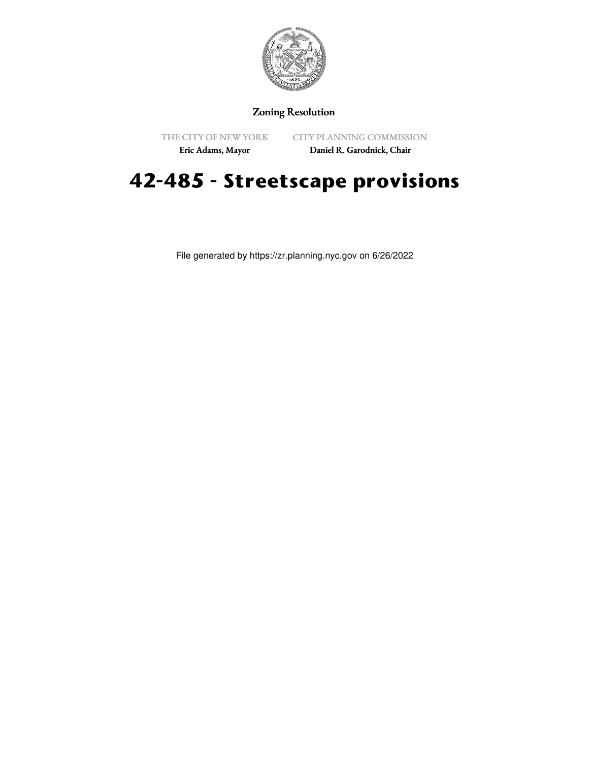

## Zoning Resolution

THE CITY OF NEW YORK

CITY PLANNING COMMISSION

Eric Adams, Mayor

Daniel R. Garodnick, Chair

## **42-485 - Streetscape provisions**

File generated by https://zr.planning.nyc.gov on 6/26/2022